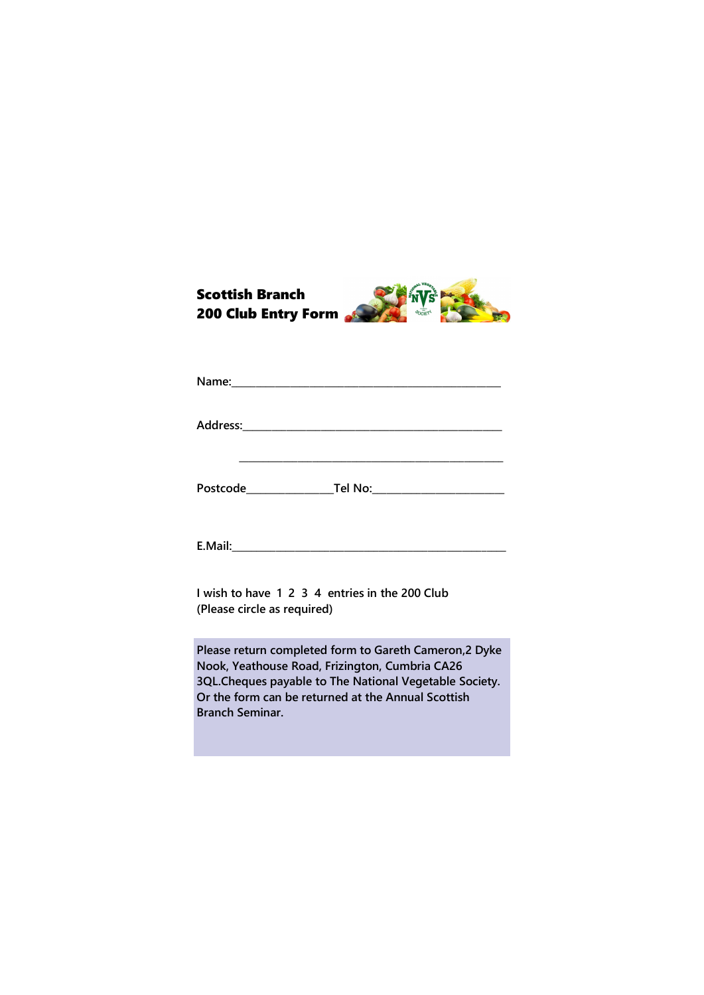

**E.Mail:\_\_\_\_\_\_\_\_\_\_\_\_\_\_\_\_\_\_\_\_\_\_\_\_\_\_\_\_\_\_\_\_\_\_\_\_\_\_\_\_\_\_\_\_\_\_\_\_\_\_\_\_\_\_\_\_**

**I wish to have 1 2 3 4 entries in the 200 Club (Please circle as required)**

**Please return completed form to Gareth Cameron,2 Dyke Nook, Yeathouse Road, Frizington, Cumbria CA26 3QL.Cheques payable to The National Vegetable Society. Or the form can be returned at the Annual Scottish Branch Seminar.**